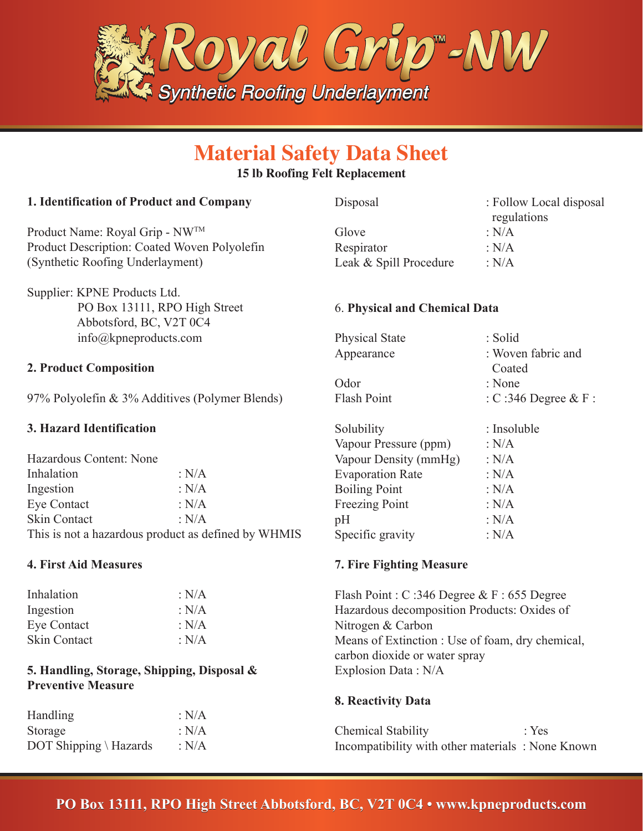

# **Material Safety Data Sheet**

#### **15 lb Roofing Felt Replacement**

### **1. Identification of Product and Company**

Product Name: Royal Grip - NWTM Product Description: Coated Woven Polyolefin (Synthetic Roofing Underlayment)

Supplier: KPNE Products Ltd. PO Box 13111, RPO High Street Abbotsford, BC, V2T 0C4 info@kpneproducts.com

#### **2. Product Composition**

97% Polyolefin & 3% Additives (Polymer Blends)

# **3. Hazard Identification**

| Hazardous Content: None                             |             |  |
|-----------------------------------------------------|-------------|--|
| Inhalation                                          | : $N/A$     |  |
| Ingestion                                           | : N/A       |  |
| Eye Contact                                         | : N/A       |  |
| Skin Contact                                        | $\cdot$ N/A |  |
| This is not a hazardous product as defined by WHMIS |             |  |

#### **4. First Aid Measures**

| Inhalation          | : $N/A$ |
|---------------------|---------|
| Ingestion           | : $N/A$ |
| <b>Eye Contact</b>  | : $N/A$ |
| <b>Skin Contact</b> | : N/A   |

## **5. Handling, Storage, Shipping, Disposal & Preventive Measure**

| <b>Handling</b>        | : $N/A$ |
|------------------------|---------|
| Storage                | : N/A   |
| DOT Shipping \ Hazards | : $N/A$ |

| Disposal             | : Follow Local disposal |
|----------------------|-------------------------|
|                      | regulations             |
| $C1$ <sub>axxa</sub> | . NIA                   |

 regulations Glove : N/A Respirator : N/A Leak & Spill Procedure : N/A

#### 6. **Physical and Chemical Data**

| <b>Physical State</b> | : Solid                |
|-----------------------|------------------------|
| Appearance            | : Woven fabric and     |
|                       | Coated                 |
| Odor                  | : None                 |
| Flash Point           | : C:346 Degree $& F$ : |
|                       |                        |

| Solubility              | : Insoluble |
|-------------------------|-------------|
| Vapour Pressure (ppm)   | : $N/A$     |
| Vapour Density (mmHg)   | : $N/A$     |
| <b>Evaporation Rate</b> | : $N/A$     |
| <b>Boiling Point</b>    | : $N/A$     |
| <b>Freezing Point</b>   | : $N/A$     |
| pH                      | : $N/A$     |
| Specific gravity        | : $N/A$     |
|                         |             |

## **7. Fire Fighting Measure**

Flash Point : C :346 Degree & F : 655 Degree Hazardous decomposition Products: Oxides of Nitrogen & Carbon Means of Extinction : Use of foam, dry chemical, carbon dioxide or water spray Explosion Data : N/A

#### **8. Reactivity Data**

Chemical Stability : Yes Incompatibility with other materials : None Known

# **PO Box 13111, RPO High Street Abbotsford, BC, V2T 0C4 • www.kpneproducts.com**